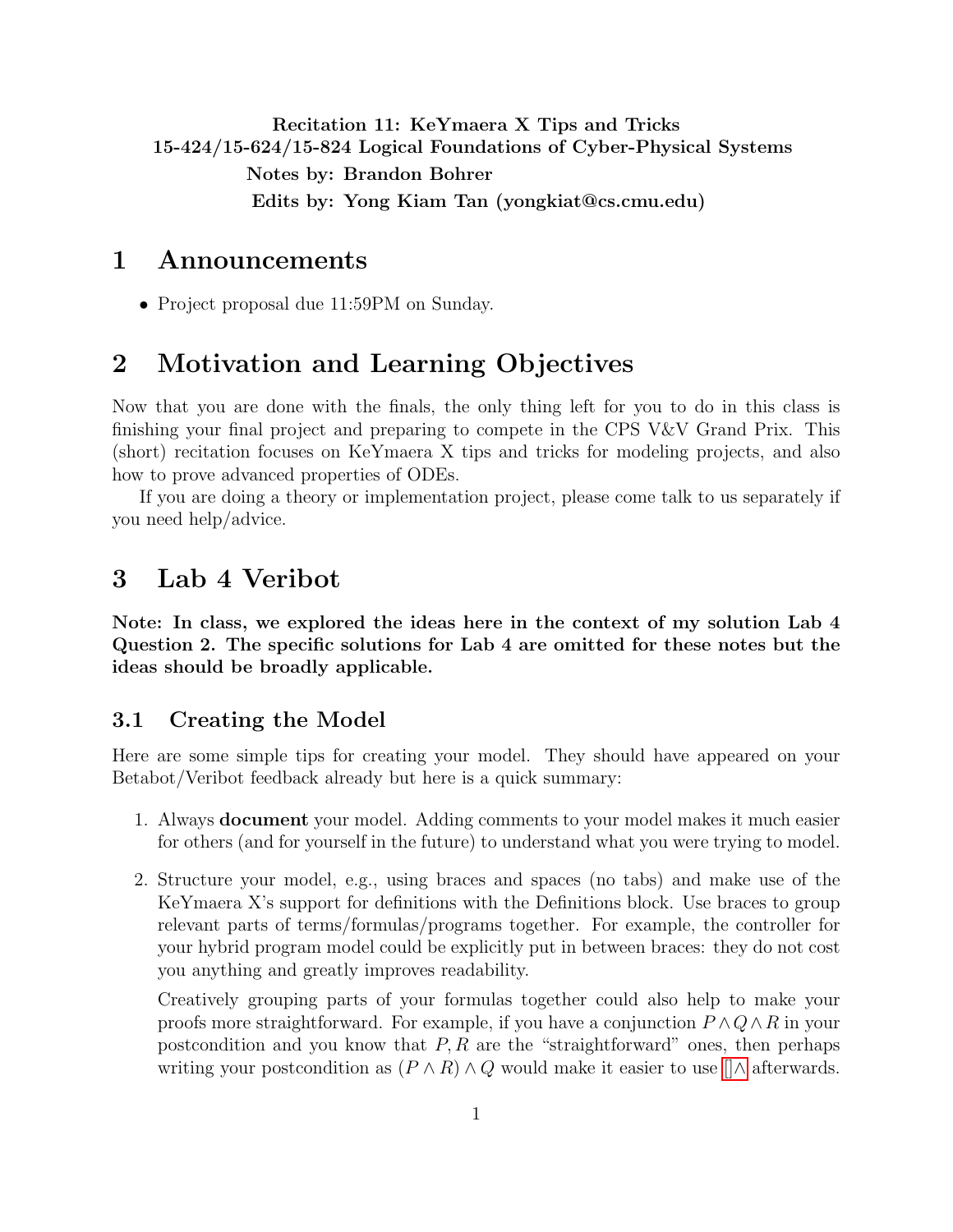# <span id="page-0-0"></span>Recitation 11: KeYmaera X Tips and Tricks 15-424/15-624/15-824 Logical Foundations of Cyber-Physical Systems Notes by: Brandon Bohrer Edits by: Yong Kiam Tan (yongkiat@cs.cmu.edu)

## 1 Announcements

• Project proposal due 11:59PM on Sunday.

# 2 Motivation and Learning Objectives

Now that you are done with the finals, the only thing left for you to do in this class is finishing your final project and preparing to compete in the CPS V&V Grand Prix. This (short) recitation focuses on KeYmaera X tips and tricks for modeling projects, and also how to prove advanced properties of ODEs.

If you are doing a theory or implementation project, please come talk to us separately if you need help/advice.

# 3 Lab 4 Veribot

Note: In class, we explored the ideas here in the context of my solution Lab 4 Question 2. The specific solutions for Lab 4 are omitted for these notes but the ideas should be broadly applicable.

#### 3.1 Creating the Model

Here are some simple tips for creating your model. They should have appeared on your Betabot/Veribot feedback already but here is a quick summary:

- 1. Always document your model. Adding comments to your model makes it much easier for others (and for yourself in the future) to understand what you were trying to model.
- 2. Structure your model, e.g., using braces and spaces (no tabs) and make use of the KeYmaera X's support for definitions with the Definitions block. Use braces to group relevant parts of terms/formulas/programs together. For example, the controller for your hybrid program model could be explicitly put in between braces: they do not cost you anything and greatly improves readability.

Creatively grouping parts of your formulas together could also help to make your proofs more straightforward. For example, if you have a conjunction  $P \wedge Q \wedge R$  in your postcondition and you know that  $P, R$  are the "straightforward" ones, then perhaps writing your postcondition as  $(P \wedge R) \wedge Q$  would make it easier to use  $\lceil \wedge \text{ afterwards.} \rceil$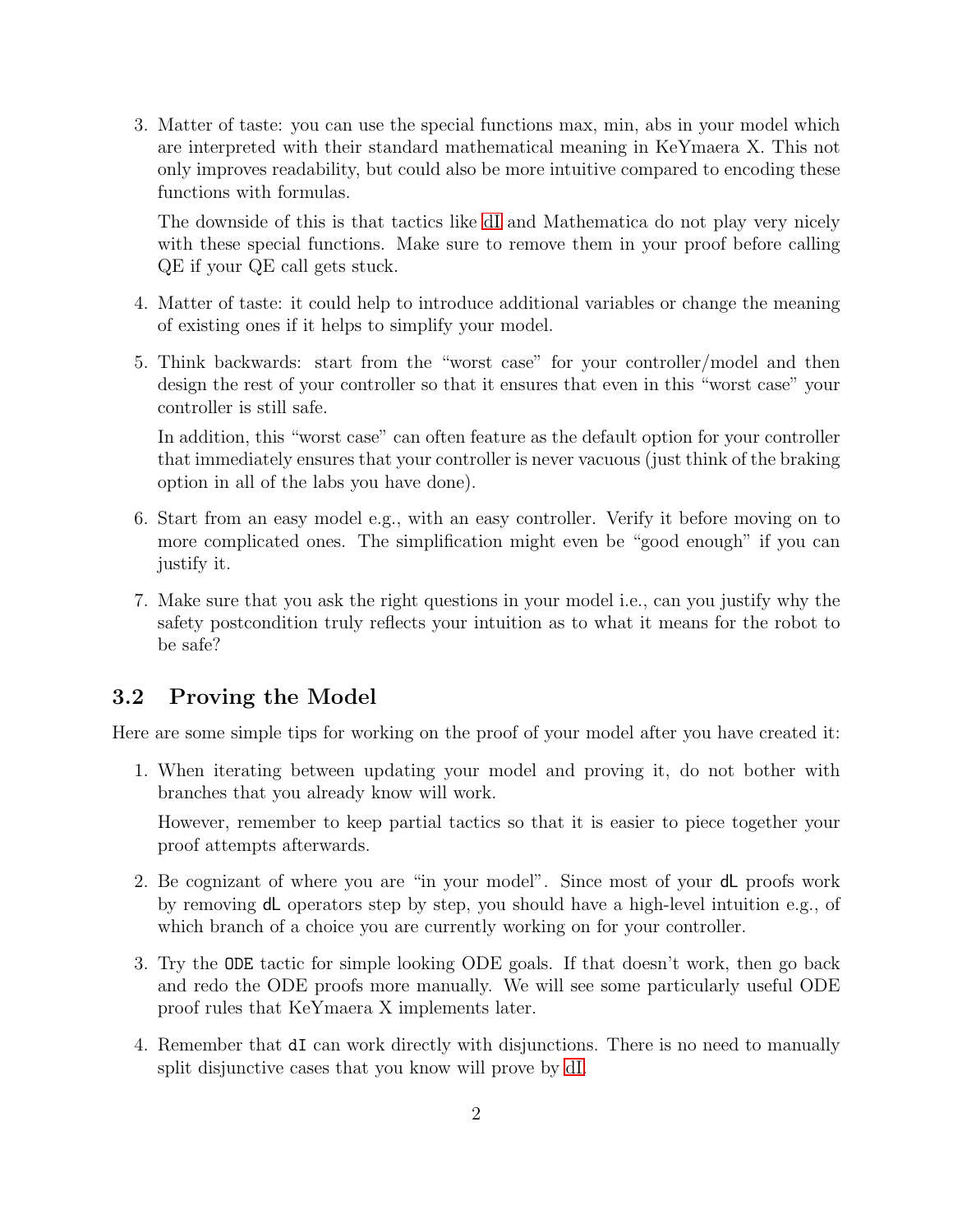3. Matter of taste: you can use the special functions max, min, abs in your model which are interpreted with their standard mathematical meaning in KeYmaera X. This not only improves readability, but could also be more intuitive compared to encoding these functions with formulas.

The downside of this is that tactics like [dI](#page-0-0) and Mathematica do not play very nicely with these special functions. Make sure to remove them in your proof before calling QE if your QE call gets stuck.

- 4. Matter of taste: it could help to introduce additional variables or change the meaning of existing ones if it helps to simplify your model.
- 5. Think backwards: start from the "worst case" for your controller/model and then design the rest of your controller so that it ensures that even in this "worst case" your controller is still safe.

In addition, this "worst case" can often feature as the default option for your controller that immediately ensures that your controller is never vacuous (just think of the braking option in all of the labs you have done).

- 6. Start from an easy model e.g., with an easy controller. Verify it before moving on to more complicated ones. The simplification might even be "good enough" if you can justify it.
- 7. Make sure that you ask the right questions in your model i.e., can you justify why the safety postcondition truly reflects your intuition as to what it means for the robot to be safe?

## 3.2 Proving the Model

Here are some simple tips for working on the proof of your model after you have created it:

1. When iterating between updating your model and proving it, do not bother with branches that you already know will work.

However, remember to keep partial tactics so that it is easier to piece together your proof attempts afterwards.

- 2. Be cognizant of where you are "in your model". Since most of your dL proofs work by removing dL operators step by step, you should have a high-level intuition e.g., of which branch of a choice you are currently working on for your controller.
- 3. Try the ODE tactic for simple looking ODE goals. If that doesn't work, then go back and redo the ODE proofs more manually. We will see some particularly useful ODE proof rules that KeYmaera X implements later.
- 4. Remember that dI can work directly with disjunctions. There is no need to manually split disjunctive cases that you know will prove by [dI.](#page-0-0)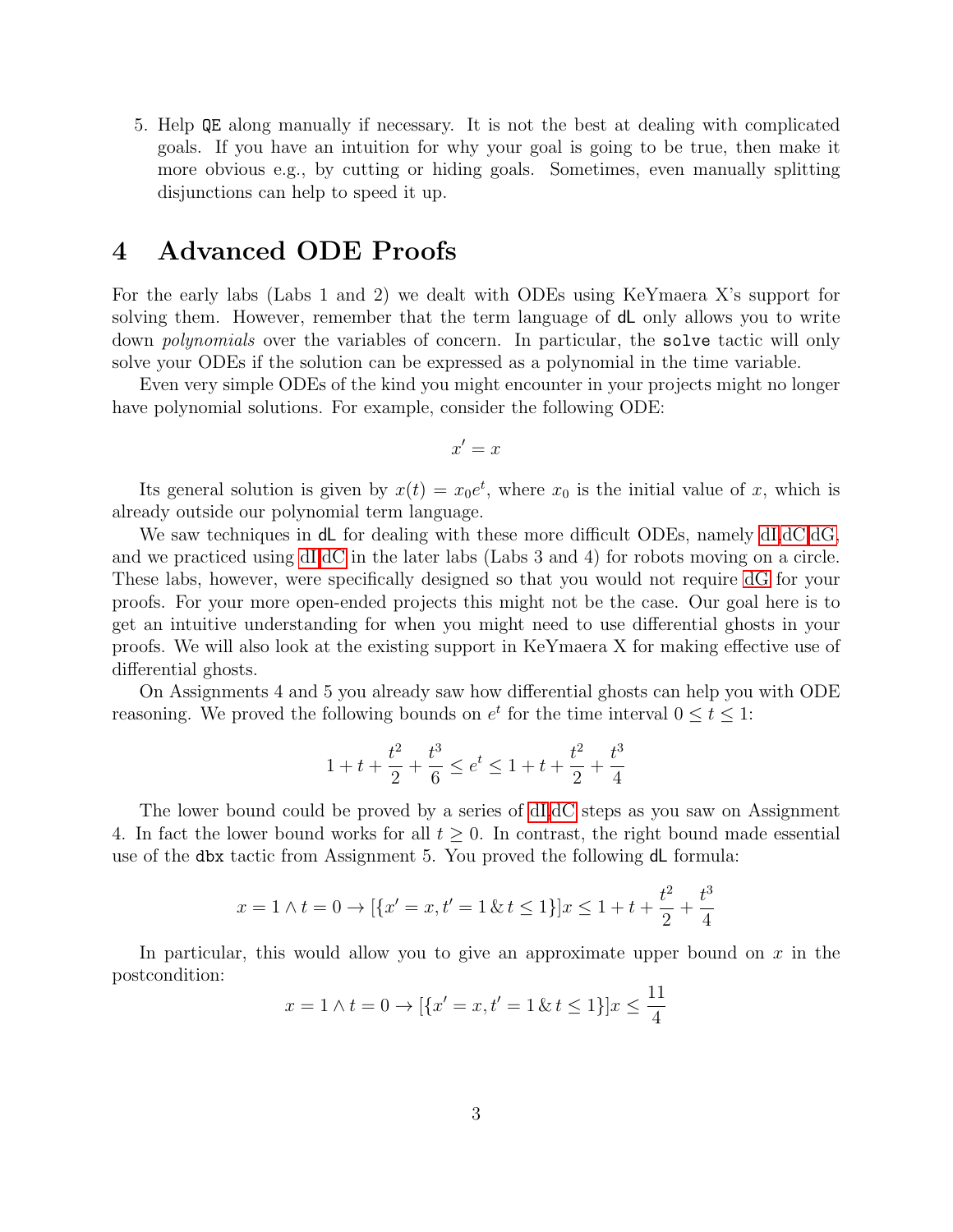5. Help QE along manually if necessary. It is not the best at dealing with complicated goals. If you have an intuition for why your goal is going to be true, then make it more obvious e.g., by cutting or hiding goals. Sometimes, even manually splitting disjunctions can help to speed it up.

## 4 Advanced ODE Proofs

For the early labs (Labs 1 and 2) we dealt with ODEs using KeYmaera X's support for solving them. However, remember that the term language of **d** only allows you to write down *polynomials* over the variables of concern. In particular, the **solve** tactic will only solve your ODEs if the solution can be expressed as a polynomial in the time variable.

Even very simple ODEs of the kind you might encounter in your projects might no longer have polynomial solutions. For example, consider the following ODE:

$$
x' = x
$$

Its general solution is given by  $x(t) = x_0 e^t$ , where  $x_0$  is the initial value of x, which is already outside our polynomial term language.

We saw techniques in **dL** for dealing with these more difficult ODEs, namely [dI,dC,dG,](#page-0-0) and we practiced using [dI,dC](#page-0-0) in the later labs (Labs 3 and 4) for robots moving on a circle. These labs, however, were specifically designed so that you would not require [dG](#page-0-0) for your proofs. For your more open-ended projects this might not be the case. Our goal here is to get an intuitive understanding for when you might need to use differential ghosts in your proofs. We will also look at the existing support in KeYmaera X for making effective use of differential ghosts.

On Assignments 4 and 5 you already saw how differential ghosts can help you with ODE reasoning. We proved the following bounds on  $e^t$  for the time interval  $0 \le t \le 1$ :

$$
1 + t + \frac{t^2}{2} + \frac{t^3}{6} \le e^t \le 1 + t + \frac{t^2}{2} + \frac{t^3}{4}
$$

The lower bound could be proved by a series of [dI,dC](#page-0-0) steps as you saw on Assignment 4. In fact the lower bound works for all  $t \geq 0$ . In contrast, the right bound made essential use of the dbx tactic from Assignment 5. You proved the following dL formula:

$$
x = 1 \land t = 0 \to [\{x' = x, t' = 1 \& t \le 1\}]x \le 1 + t + \frac{t^2}{2} + \frac{t^3}{4}
$$

In particular, this would allow you to give an approximate upper bound on  $x$  in the postcondition:

$$
x = 1 \land t = 0 \to [\{x' = x, t' = 1 \& t \le 1\}]x \le \frac{11}{4}
$$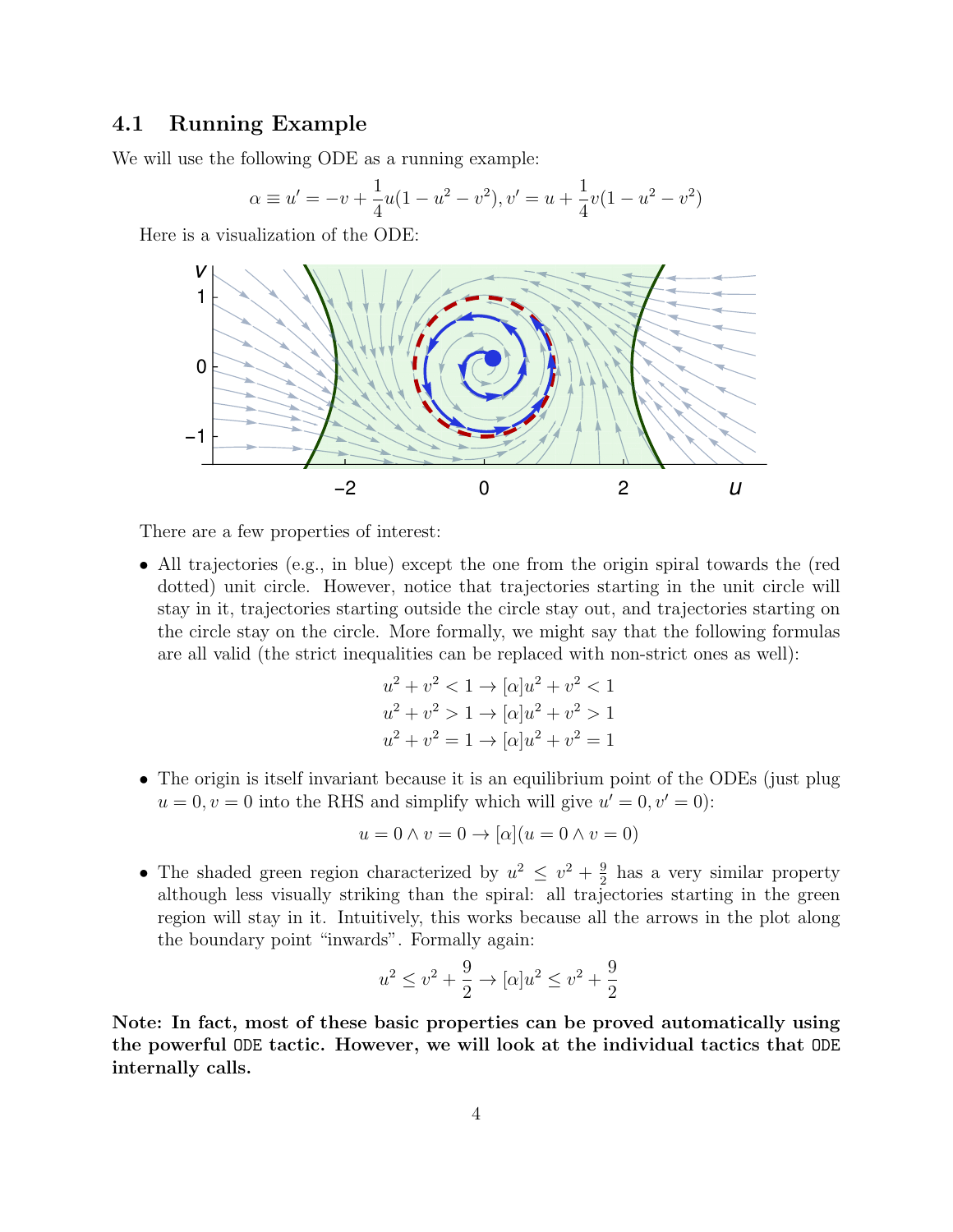## 4.1 Running Example

We will use the following ODE as a running example:

$$
\alpha \equiv u' = -v + \frac{1}{4}u(1 - u^2 - v^2), v' = u + \frac{1}{4}v(1 - u^2 - v^2)
$$

Here is a visualization of the ODE:



There are a few properties of interest:

• All trajectories (e.g., in blue) except the one from the origin spiral towards the (red dotted) unit circle. However, notice that trajectories starting in the unit circle will stay in it, trajectories starting outside the circle stay out, and trajectories starting on the circle stay on the circle. More formally, we might say that the following formulas are all valid (the strict inequalities can be replaced with non-strict ones as well):

$$
u^{2} + v^{2} < 1 \rightarrow [\alpha]u^{2} + v^{2} < 1
$$
  
\n
$$
u^{2} + v^{2} > 1 \rightarrow [\alpha]u^{2} + v^{2} > 1
$$
  
\n
$$
u^{2} + v^{2} = 1 \rightarrow [\alpha]u^{2} + v^{2} = 1
$$

• The origin is itself invariant because it is an equilibrium point of the ODEs (just plug  $u = 0, v = 0$  into the RHS and simplify which will give  $u' = 0, v' = 0$ :

$$
u = 0 \land v = 0 \to [\alpha](u = 0 \land v = 0)
$$

• The shaded green region characterized by  $u^2 \leq v^2 + \frac{9}{2}$  $\frac{9}{2}$  has a very similar property although less visually striking than the spiral: all trajectories starting in the green region will stay in it. Intuitively, this works because all the arrows in the plot along the boundary point "inwards". Formally again:

$$
u^2 \le v^2 + \frac{9}{2} \to [\alpha]u^2 \le v^2 + \frac{9}{2}
$$

Note: In fact, most of these basic properties can be proved automatically using the powerful ODE tactic. However, we will look at the individual tactics that ODE internally calls.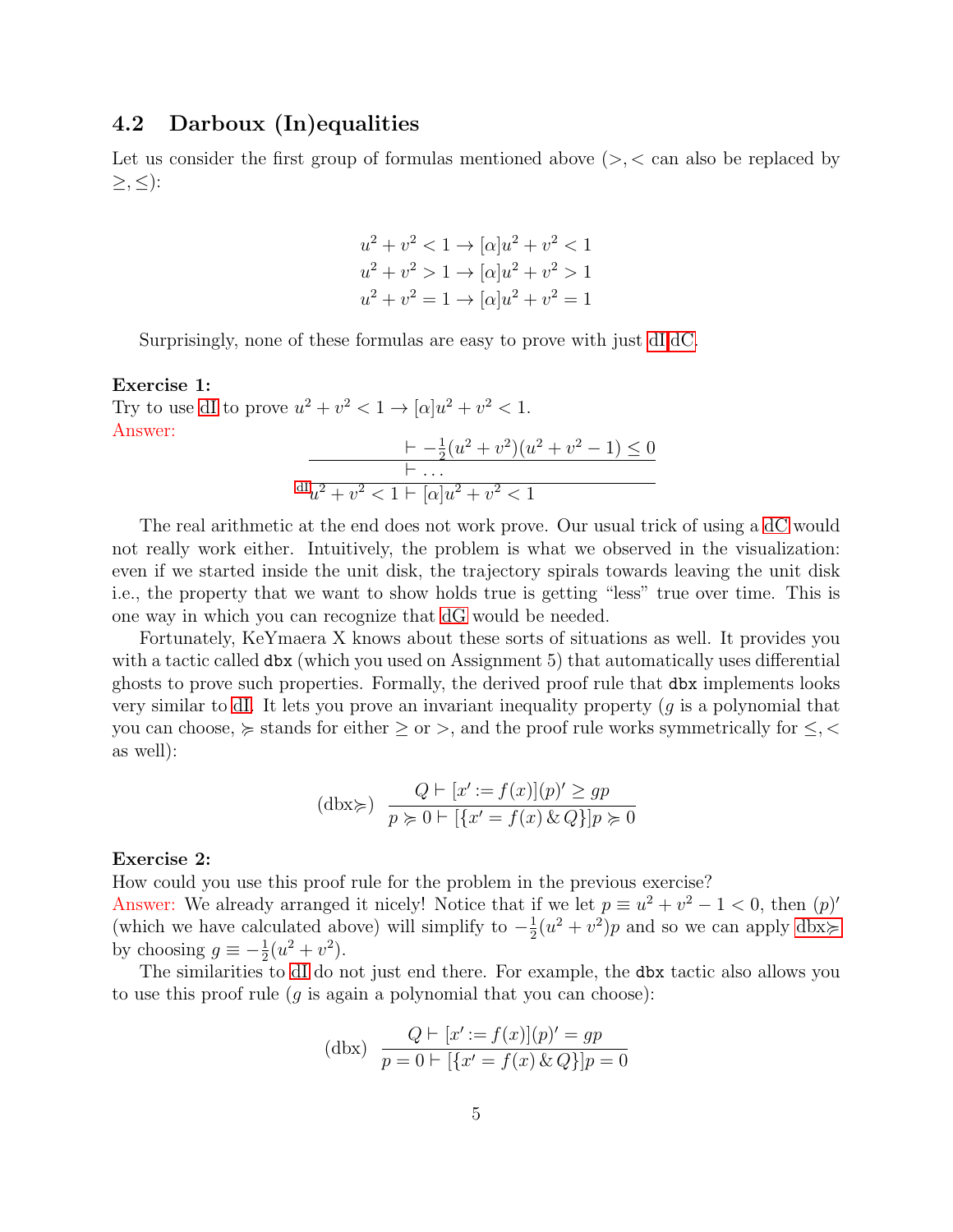## 4.2 Darboux (In)equalities

Let us consider the first group of formulas mentioned above  $(>, <$  can also be replaced by  $\geq, \leq$ :

$$
u^{2} + v^{2} < 1 \rightarrow [\alpha]u^{2} + v^{2} < 1
$$
  
\n
$$
u^{2} + v^{2} > 1 \rightarrow [\alpha]u^{2} + v^{2} > 1
$$
  
\n
$$
u^{2} + v^{2} = 1 \rightarrow [\alpha]u^{2} + v^{2} = 1
$$

Surprisingly, none of these formulas are easy to prove with just [dI,dC.](#page-0-0)

#### Exercise 1:

Try to use [dI](#page-0-0) to prove  $u^2 + v^2 < 1 \rightarrow [\alpha]u^2 + v^2 < 1$ . Answer:  $- \frac{1}{2}(u^2 + v^2)(u^2 + v^2 - 1) \leq 0$  $\vdash \dots$  $\frac{dI_{u^2} + v^2}{dt^2 + v^2} < 1 + [\alpha]u^2 + v^2 < 1$  $\frac{dI_{u^2} + v^2}{dt^2 + v^2} < 1 + [\alpha]u^2 + v^2 < 1$  $\frac{dI_{u^2} + v^2}{dt^2 + v^2} < 1 + [\alpha]u^2 + v^2 < 1$ 

The real arithmetic at the end does not work prove. Our usual trick of using a [dC](#page-0-0) would not really work either. Intuitively, the problem is what we observed in the visualization: even if we started inside the unit disk, the trajectory spirals towards leaving the unit disk i.e., the property that we want to show holds true is getting "less" true over time. This is one way in which you can recognize that [dG](#page-0-0) would be needed.

Fortunately, KeYmaera X knows about these sorts of situations as well. It provides you with a tactic called dbx (which you used on Assignment 5) that automatically uses differential ghosts to prove such properties. Formally, the derived proof rule that dbx implements looks very similar to [dI.](#page-0-0) It lets you prove an invariant inequality property  $(g$  is a polynomial that you can choose,  $\succcurlyeq$  stands for either  $\geq$  or  $>$ , and the proof rule works symmetrically for  $\leq$ ,  $\lt$ as well):

<span id="page-4-0"></span>
$$
(\text{dbx} \succ) \quad \frac{Q \vdash [x' := f(x)](p)' \ge gp}{p \succcurlyeq 0 \vdash [\{x' = f(x) \& Q\}]p \succcurlyeq 0}
$$

#### Exercise 2:

How could you use this proof rule for the problem in the previous exercise?

Answer: We already arranged it nicely! Notice that if we let  $p \equiv u^2 + v^2 - 1 < 0$ , then  $(p)$ ' (which we have calculated above) will simplify to  $-\frac{1}{2}$  $\frac{1}{2}(u^2 + v^2)p$  and so we can apply [dbx](#page-4-0) $\succcurlyeq$ by choosing  $g \equiv -\frac{1}{2}(u^2 + v^2)$ .

The similarities to [dI](#page-0-0) do not just end there. For example, the dbx tactic also allows you to use this proof rule (q is again a polynomial that you can choose):

<span id="page-4-1"></span>(dbx) 
$$
\frac{Q \vdash [x' := f(x)](p)' = gp}{p = 0 \vdash [\{x' = f(x) \& Q\}]p = 0}
$$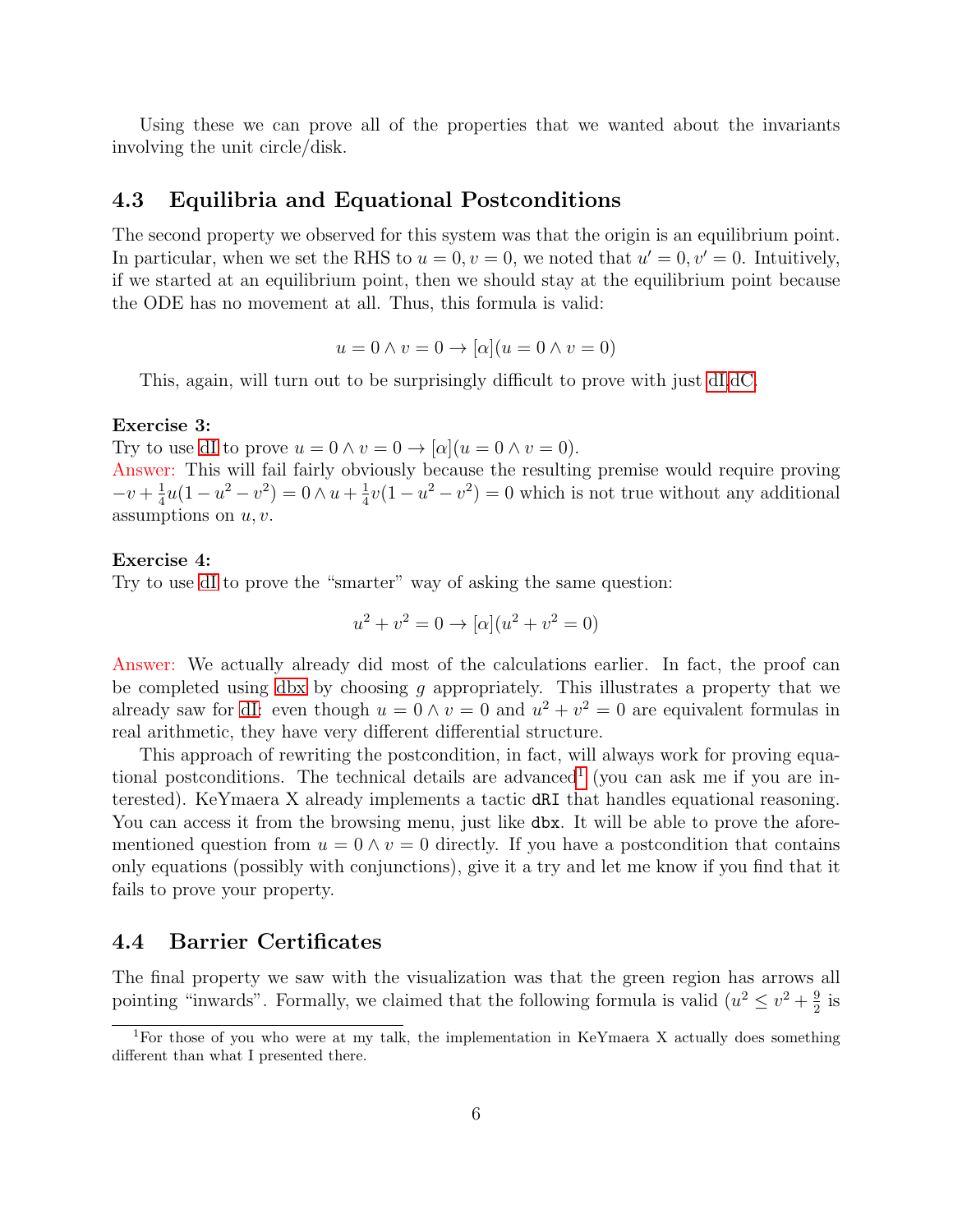Using these we can prove all of the properties that we wanted about the invariants involving the unit circle/disk.

## 4.3 Equilibria and Equational Postconditions

The second property we observed for this system was that the origin is an equilibrium point. In particular, when we set the RHS to  $u = 0, v = 0$ , we noted that  $u' = 0, v' = 0$ . Intuitively, if we started at an equilibrium point, then we should stay at the equilibrium point because the ODE has no movement at all. Thus, this formula is valid:

$$
u = 0 \land v = 0 \to [\alpha](u = 0 \land v = 0)
$$

This, again, will turn out to be surprisingly difficult to prove with just [dI,dC.](#page-0-0)

#### Exercise 3:

Try to use [dI](#page-0-0) to prove  $u = 0 \wedge v = 0 \rightarrow |\alpha|(u = 0 \wedge v = 0)$ .

Answer: This will fail fairly obviously because the resulting premise would require proving  $-v + \frac{1}{4}$  $\frac{1}{4}u(1-u^2-v^2)=0 \wedge u+\frac{1}{4}$  $\frac{1}{4}v(1-u^2-v^2)=0$  which is not true without any additional assumptions on  $u, v$ .

#### Exercise 4:

Try to use [dI](#page-0-0) to prove the "smarter" way of asking the same question:

$$
u^{2} + v^{2} = 0 \rightarrow [\alpha](u^{2} + v^{2} = 0)
$$

Answer: We actually already did most of the calculations earlier. In fact, the proof can be completed using [dbx](#page-4-1) by choosing  $g$  appropriately. This illustrates a property that we already saw for [dI:](#page-0-0) even though  $u = 0 \wedge v = 0$  and  $u^2 + v^2 = 0$  are equivalent formulas in real arithmetic, they have very different differential structure.

This approach of rewriting the postcondition, in fact, will always work for proving equa-tional postconditions. The technical details are advanced<sup>[1](#page-5-0)</sup> (you can ask me if you are interested). KeYmaera X already implements a tactic dRI that handles equational reasoning. You can access it from the browsing menu, just like dbx. It will be able to prove the aforementioned question from  $u = 0 \wedge v = 0$  directly. If you have a postcondition that contains only equations (possibly with conjunctions), give it a try and let me know if you find that it fails to prove your property.

#### 4.4 Barrier Certificates

The final property we saw with the visualization was that the green region has arrows all pointing "inwards". Formally, we claimed that the following formula is valid  $(u^2 \leq v^2 + \frac{9}{2})$  $rac{9}{2}$  is

<span id="page-5-0"></span><sup>&</sup>lt;sup>1</sup>For those of you who were at my talk, the implementation in KeYmaera X actually does something different than what I presented there.